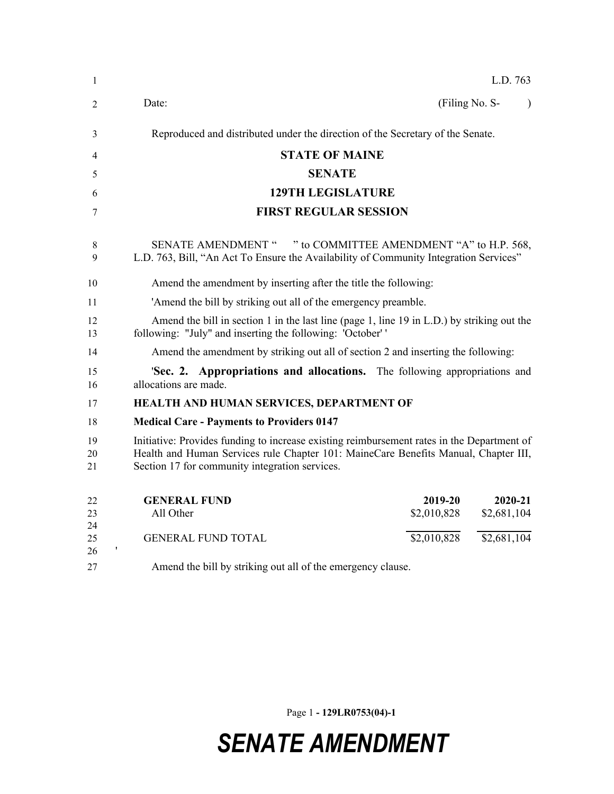| 1              | L.D. 763                                                                                                                                                                                                                            |
|----------------|-------------------------------------------------------------------------------------------------------------------------------------------------------------------------------------------------------------------------------------|
| 2              | (Filing No. S-<br>Date:<br>$\lambda$                                                                                                                                                                                                |
| 3              | Reproduced and distributed under the direction of the Secretary of the Senate.                                                                                                                                                      |
| 4              | <b>STATE OF MAINE</b>                                                                                                                                                                                                               |
| 5              | <b>SENATE</b>                                                                                                                                                                                                                       |
| 6              | <b>129TH LEGISLATURE</b>                                                                                                                                                                                                            |
| 7              | <b>FIRST REGULAR SESSION</b>                                                                                                                                                                                                        |
| 8<br>9         | " to COMMITTEE AMENDMENT "A" to H.P. 568,<br><b>SENATE AMENDMENT "</b><br>L.D. 763, Bill, "An Act To Ensure the Availability of Community Integration Services"                                                                     |
| 10             | Amend the amendment by inserting after the title the following:                                                                                                                                                                     |
| 11             | 'Amend the bill by striking out all of the emergency preamble.                                                                                                                                                                      |
| 12<br>13       | Amend the bill in section 1 in the last line (page 1, line 19 in L.D.) by striking out the<br>following: "July" and inserting the following: 'October' '                                                                            |
| 14             | Amend the amendment by striking out all of section 2 and inserting the following:                                                                                                                                                   |
| 15<br>16       | <b>Sec. 2. Appropriations and allocations.</b> The following appropriations and<br>allocations are made.                                                                                                                            |
| 17             | HEALTH AND HUMAN SERVICES, DEPARTMENT OF                                                                                                                                                                                            |
| 18             | <b>Medical Care - Payments to Providers 0147</b>                                                                                                                                                                                    |
| 19<br>20<br>21 | Initiative: Provides funding to increase existing reimbursement rates in the Department of<br>Health and Human Services rule Chapter 101: MaineCare Benefits Manual, Chapter III,<br>Section 17 for community integration services. |
| 22<br>23       | <b>GENERAL FUND</b><br>2019-20<br>2020-21<br>All Other<br>\$2,010,828<br>\$2,681,104                                                                                                                                                |
| 24<br>25<br>26 | \$2,010,828<br>\$2,681,104<br><b>GENERAL FUND TOTAL</b>                                                                                                                                                                             |
| 27             | Amend the bill by striking out all of the emergency clause.                                                                                                                                                                         |
|                |                                                                                                                                                                                                                                     |

Page 1 **- 129LR0753(04)-1**

## *SENATE AMENDMENT*